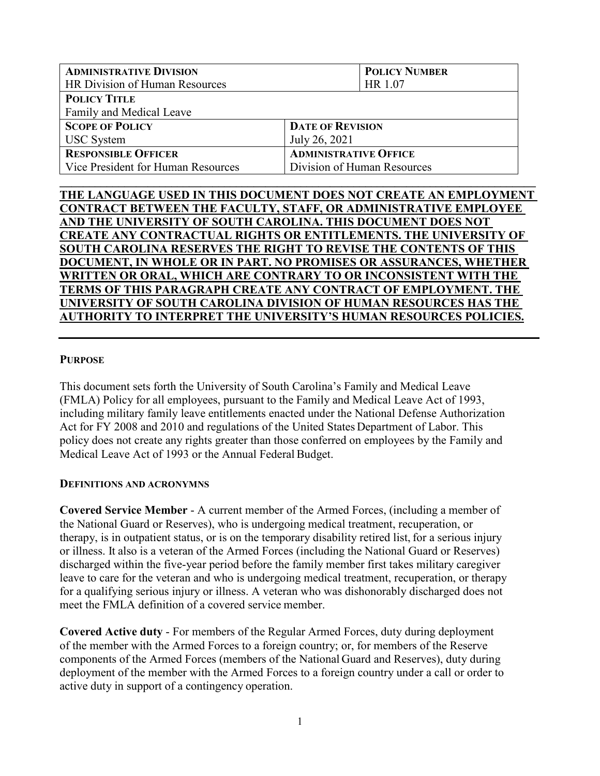| <b>ADMINISTRATIVE DIVISION</b>     |                              | <b>POLICY NUMBER</b> |  |  |
|------------------------------------|------------------------------|----------------------|--|--|
| HR Division of Human Resources     |                              | HR 1.07              |  |  |
| <b>POLICY TITLE</b>                |                              |                      |  |  |
| Family and Medical Leave           |                              |                      |  |  |
| <b>SCOPE OF POLICY</b>             | <b>DATE OF REVISION</b>      |                      |  |  |
| <b>USC</b> System                  | July 26, 2021                |                      |  |  |
| <b>RESPONSIBLE OFFICER</b>         | <b>ADMINISTRATIVE OFFICE</b> |                      |  |  |
| Vice President for Human Resources | Division of Human Resources  |                      |  |  |
|                                    |                              |                      |  |  |

# **THE LANGUAGE USED IN THIS DOCUMENT DOES NOT CREATE AN EMPLOYMENT CONTRACT BETWEEN THE FACULTY, STAFF, OR ADMINISTRATIVE EMPLOYEE AND THE UNIVERSITY OF SOUTH CAROLINA. THIS DOCUMENT DOES NOT CREATE ANY CONTRACTUAL RIGHTS OR ENTITLEMENTS. THE UNIVERSITY OF SOUTH CAROLINA RESERVES THE RIGHT TO REVISE THE CONTENTS OF THIS DOCUMENT, IN WHOLE OR IN PART. NO PROMISES OR ASSURANCES, WHETHER WRITTEN OR ORAL, WHICH ARE CONTRARY TO OR INCONSISTENT WITH THE TERMS OF THIS PARAGRAPH CREATE ANY CONTRACT OF EMPLOYMENT. THE UNIVERSITY OF SOUTH CAROLINA DIVISION OF HUMAN RESOURCES HAS THE AUTHORITY TO INTERPRET THE UNIVERSITY'S HUMAN RESOURCES POLICIES.**

#### **PURPOSE**

This document sets forth the University of South Carolina's Family and Medical Leave (FMLA) Policy for all employees, pursuant to the Family and Medical Leave Act of 1993, including military family leave entitlements enacted under the National Defense Authorization Act for FY 2008 and 2010 and regulations of the United States Department of Labor. This policy does not create any rights greater than those conferred on employees by the Family and Medical Leave Act of 1993 or the Annual Federal Budget.

#### **DEFINITIONS AND ACRONYMNS**

**Covered Service Member** - A current member of the Armed Forces, (including a member of the National Guard or Reserves), who is undergoing medical treatment, recuperation, or therapy, is in outpatient status, or is on the temporary disability retired list, for a serious injury or illness. It also is a veteran of the Armed Forces (including the National Guard or Reserves) discharged within the five-year period before the family member first takes military caregiver leave to care for the veteran and who is undergoing medical treatment, recuperation, or therapy for a qualifying serious injury or illness. A veteran who was dishonorably discharged does not meet the FMLA definition of a covered service member.

**Covered Active duty** - For members of the Regular Armed Forces, duty during deployment of the member with the Armed Forces to a foreign country; or, for members of the Reserve components of the Armed Forces (members of the National Guard and Reserves), duty during deployment of the member with the Armed Forces to a foreign country under a call or order to active duty in support of a contingency operation.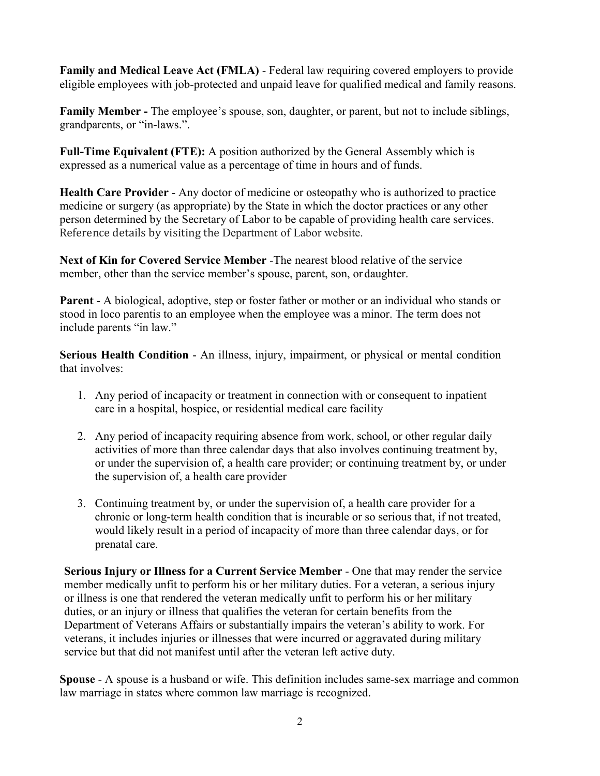**Family and Medical Leave Act (FMLA)** - Federal law requiring covered employers to provide eligible employees with job-protected and unpaid leave for qualified medical and family reasons.

**Family Member -** The employee's spouse, son, daughter, or parent, but not to include siblings, grandparents, or "in-laws.".

**Full-Time Equivalent (FTE):** A position authorized by the General Assembly which is expressed as a numerical value as a percentage of time in hours and of funds.

**Health Care Provider** - Any doctor of medicine or osteopathy who is authorized to practice medicine or surgery (as appropriate) by the State in which the doctor practices or any other person determined by the Secretary of Labor to be capable of providing health care services. Reference details by visiting the Department of Labor website.

**Next of Kin for Covered Service Member** -The nearest blood relative of the service member, other than the service member's spouse, parent, son, or daughter.

**Parent** - A biological, adoptive, step or foster father or mother or an individual who stands or stood in loco parentis to an employee when the employee was a minor. The term does not include parents "in law."

**Serious Health Condition** - An illness, injury, impairment, or physical or mental condition that involves:

- 1. Any period of incapacity or treatment in connection with or consequent to inpatient care in a hospital, hospice, or residential medical care facility
- 2. Any period of incapacity requiring absence from work, school, or other regular daily activities of more than three calendar days that also involves continuing treatment by, or under the supervision of, a health care provider; or continuing treatment by, or under the supervision of, a health care provider
- 3. Continuing treatment by, or under the supervision of, a health care provider for a chronic or long-term health condition that is incurable or so serious that, if not treated, would likely result in a period of incapacity of more than three calendar days, or for prenatal care.

**Serious Injury or Illness for a Current Service Member** - One that may render the service member medically unfit to perform his or her military duties. For a veteran, a serious injury or illness is one that rendered the veteran medically unfit to perform his or her military duties, or an injury or illness that qualifies the veteran for certain benefits from the Department of Veterans Affairs or substantially impairs the veteran's ability to work. For veterans, it includes injuries or illnesses that were incurred or aggravated during military service but that did not manifest until after the veteran left active duty.

**Spouse** - A spouse is a husband or wife. This definition includes same-sex marriage and common law marriage in states where common law marriage is recognized.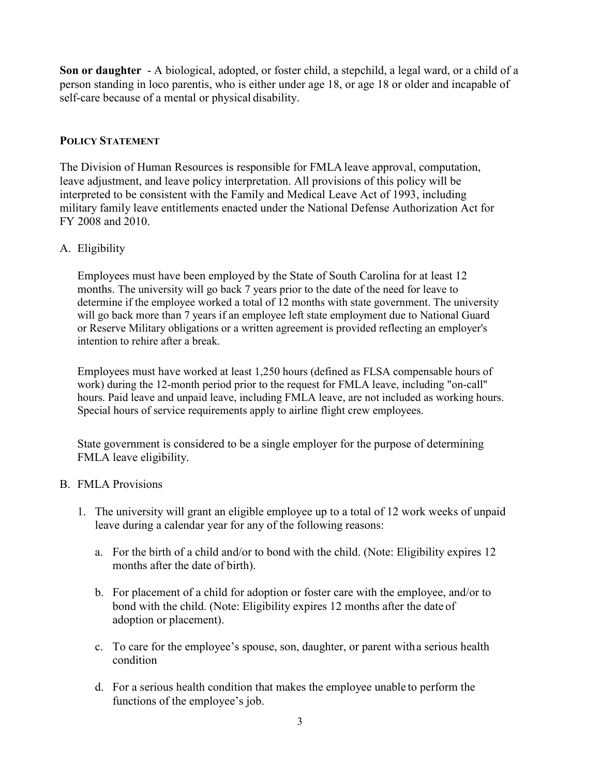**Son or daughter** - A biological, adopted, or foster child, a stepchild, a legal ward, or a child of a person standing in loco parentis, who is either under age 18, or age 18 or older and incapable of self-care because of a mental or physical disability.

# **POLICY STATEMENT**

The Division of Human Resources is responsible for FMLA leave approval, computation, leave adjustment, and leave policy interpretation. All provisions of this policy will be interpreted to be consistent with the Family and Medical Leave Act of 1993, including military family leave entitlements enacted under the National Defense Authorization Act for FY 2008 and 2010.

# A. Eligibility

Employees must have been employed by the State of South Carolina for at least 12 months. The university will go back 7 years prior to the date of the need for leave to determine if the employee worked a total of 12 months with state government. The university will go back more than 7 years if an employee left state employment due to National Guard or Reserve Military obligations or a written agreement is provided reflecting an employer's intention to rehire after a break.

Employees must have worked at least 1,250 hours (defined as FLSA compensable hours of work) during the 12-month period prior to the request for FMLA leave, including "on-call" hours. Paid leave and unpaid leave, including FMLA leave, are not included as working hours. Special hours of service requirements apply to airline flight crew employees.

State government is considered to be a single employer for the purpose of determining FMLA leave eligibility.

# B. FMLA Provisions

- 1. The university will grant an eligible employee up to a total of 12 work weeks of unpaid leave during a calendar year for any of the following reasons:
	- a. For the birth of a child and/or to bond with the child. (Note: Eligibility expires 12 months after the date of birth).
	- b. For placement of a child for adoption or foster care with the employee, and/or to bond with the child. (Note: Eligibility expires 12 months after the date of adoption or placement).
	- c. To care for the employee's spouse, son, daughter, or parent witha serious health condition
	- d. For a serious health condition that makes the employee unable to perform the functions of the employee's job.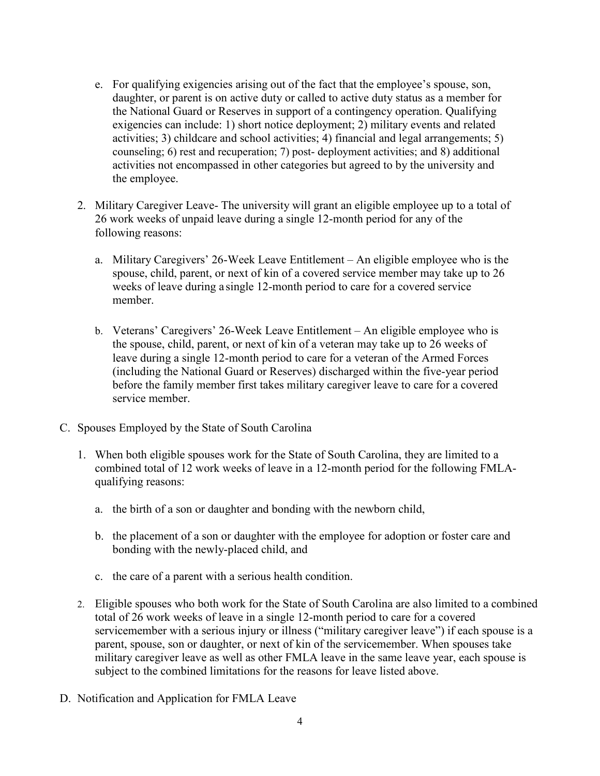- e. For qualifying exigencies arising out of the fact that the employee's spouse, son, daughter, or parent is on active duty or called to active duty status as a member for the National Guard or Reserves in support of a contingency operation. Qualifying exigencies can include: 1) short notice deployment; 2) military events and related activities; 3) childcare and school activities; 4) financial and legal arrangements; 5) counseling; 6) rest and recuperation; 7) post- deployment activities; and 8) additional activities not encompassed in other categories but agreed to by the university and the employee.
- 2. Military Caregiver Leave- The university will grant an eligible employee up to a total of 26 work weeks of unpaid leave during a single 12-month period for any of the following reasons:
	- a. Military Caregivers' 26-Week Leave Entitlement An eligible employee who is the spouse, child, parent, or next of kin of a covered service member may take up to 26 weeks of leave during a single 12-month period to care for a covered service member.
	- b. Veterans' Caregivers' 26-Week Leave Entitlement An eligible employee who is the spouse, child, parent, or next of kin of a veteran may take up to 26 weeks of leave during a single 12-month period to care for a veteran of the Armed Forces (including the National Guard or Reserves) discharged within the five-year period before the family member first takes military caregiver leave to care for a covered service member.
- C. Spouses Employed by the State of South Carolina
	- 1. When both eligible spouses work for the State of South Carolina, they are limited to a combined total of 12 work weeks of leave in a 12-month period for the following FMLAqualifying reasons:
		- a. the birth of a son or daughter and bonding with the newborn child,
		- b. the placement of a son or daughter with the employee for adoption or foster care and bonding with the newly-placed child, and
		- c. the care of a parent with a serious health condition.
	- 2. Eligible spouses who both work for the State of South Carolina are also limited to a combined total of 26 work weeks of leave in a single 12-month period to care for a covered servicemember with a serious injury or illness ("military caregiver leave") if each spouse is a parent, spouse, son or daughter, or next of kin of the servicemember. When spouses take military caregiver leave as well as other FMLA leave in the same leave year, each spouse is subject to the combined limitations for the reasons for leave listed above.
- D. Notification and Application for FMLA Leave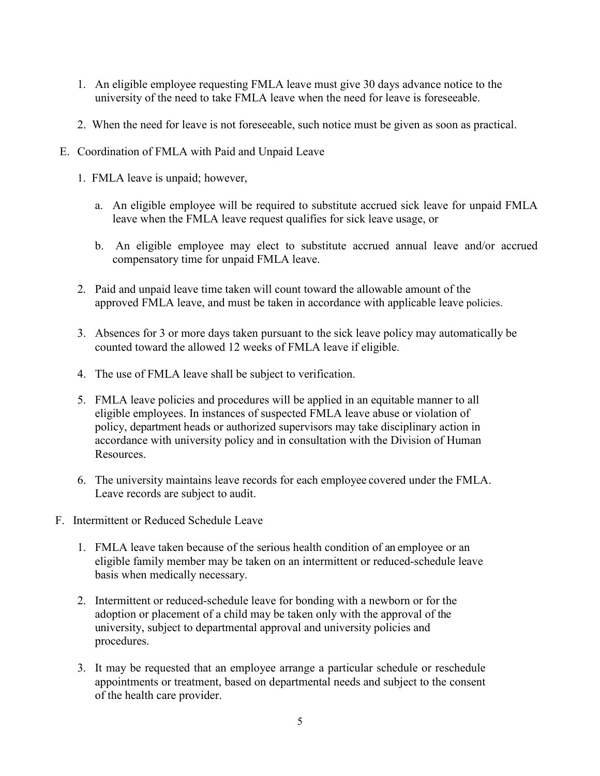- 1. An eligible employee requesting FMLA leave must give 30 days advance notice to the university of the need to take FMLA leave when the need for leave is foreseeable.
- 2. When the need for leave is not foreseeable, such notice must be given as soon as practical.
- E. Coordination of FMLA with Paid and Unpaid Leave
	- 1. FMLA leave is unpaid; however,
		- a. An eligible employee will be required to substitute accrued sick leave for unpaid FMLA leave when the FMLA leave request qualifies for sick leave usage, or
		- b. An eligible employee may elect to substitute accrued annual leave and/or accrued compensatory time for unpaid FMLA leave.
	- 2. Paid and unpaid leave time taken will count toward the allowable amount of the approved FMLA leave, and must be taken in accordance with applicable leave policies.
	- 3. Absences for 3 or more days taken pursuant to the sick leave policy may automatically be counted toward the allowed 12 weeks of FMLA leave if eligible.
	- 4. The use of FMLA leave shall be subject to verification.
	- 5. FMLA leave policies and procedures will be applied in an equitable manner to all eligible employees. In instances of suspected FMLA leave abuse or violation of policy, department heads or authorized supervisors may take disciplinary action in accordance with university policy and in consultation with the Division of Human Resources.
	- 6. The university maintains leave records for each employee covered under the FMLA. Leave records are subject to audit.
- F. Intermittent or Reduced Schedule Leave
	- 1. FMLA leave taken because of the serious health condition of an employee or an eligible family member may be taken on an intermittent or reduced-schedule leave basis when medically necessary.
	- 2. Intermittent or reduced-schedule leave for bonding with a newborn or for the adoption or placement of a child may be taken only with the approval of the university, subject to departmental approval and university policies and procedures.
	- 3. It may be requested that an employee arrange a particular schedule or reschedule appointments or treatment, based on departmental needs and subject to the consent of the health care provider.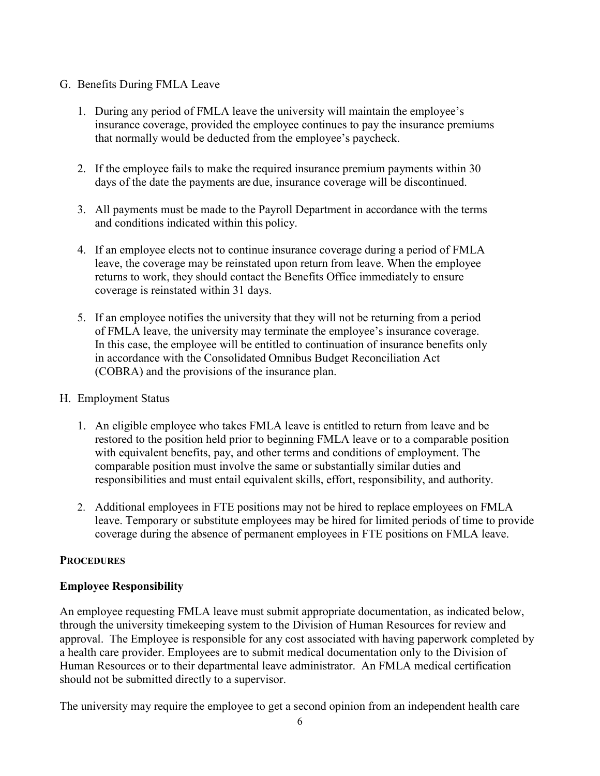### G. Benefits During FMLA Leave

- 1. During any period of FMLA leave the university will maintain the employee's insurance coverage, provided the employee continues to pay the insurance premiums that normally would be deducted from the employee's paycheck.
- 2. If the employee fails to make the required insurance premium payments within 30 days of the date the payments are due, insurance coverage will be discontinued.
- 3. All payments must be made to the Payroll Department in accordance with the terms and conditions indicated within this policy.
- 4. If an employee elects not to continue insurance coverage during a period of FMLA leave, the coverage may be reinstated upon return from leave. When the employee returns to work, they should contact the Benefits Office immediately to ensure coverage is reinstated within 31 days.
- 5. If an employee notifies the university that they will not be returning from a period of FMLA leave, the university may terminate the employee's insurance coverage. In this case, the employee will be entitled to continuation of insurance benefits only in accordance with the Consolidated Omnibus Budget Reconciliation Act (COBRA) and the provisions of the insurance plan.

### H. Employment Status

- 1. An eligible employee who takes FMLA leave is entitled to return from leave and be restored to the position held prior to beginning FMLA leave or to a comparable position with equivalent benefits, pay, and other terms and conditions of employment. The comparable position must involve the same or substantially similar duties and responsibilities and must entail equivalent skills, effort, responsibility, and authority.
- 2. Additional employees in FTE positions may not be hired to replace employees on FMLA leave. Temporary or substitute employees may be hired for limited periods of time to provide coverage during the absence of permanent employees in FTE positions on FMLA leave.

# **PROCEDURES**

# **Employee Responsibility**

An employee requesting FMLA leave must submit appropriate documentation, as indicated below, through the university timekeeping system to the Division of Human Resources for review and approval. The Employee is responsible for any cost associated with having paperwork completed by a health care provider. Employees are to submit medical documentation only to the Division of Human Resources or to their departmental leave administrator. An FMLA medical certification should not be submitted directly to a supervisor.

The university may require the employee to get a second opinion from an independent health care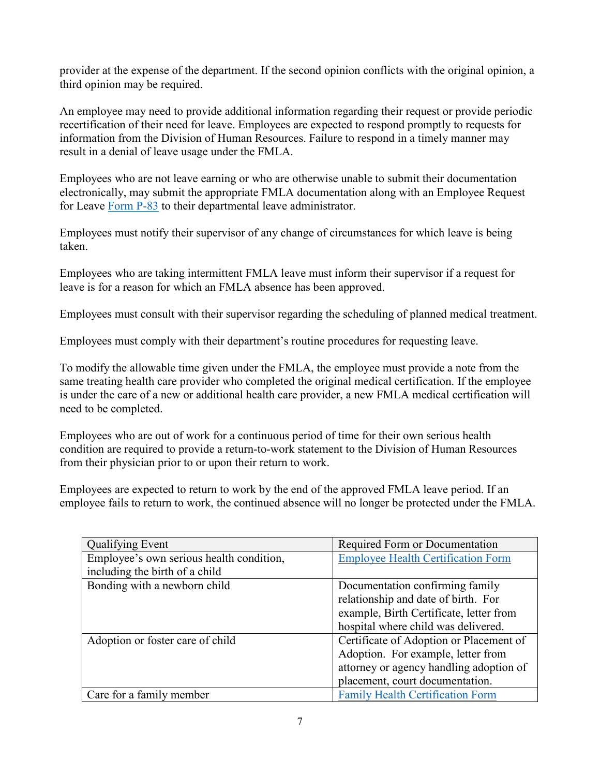provider at the expense of the department. If the second opinion conflicts with the original opinion, a third opinion may be required.

An employee may need to provide additional information regarding their request or provide periodic recertification of their need for leave. Employees are expected to respond promptly to requests for information from the Division of Human Resources. Failure to respond in a timely manner may result in a denial of leave usage under the FMLA.

Employees who are not leave earning or who are otherwise unable to submit their documentation electronically, may submit the appropriate FMLA documentation along with an Employee Request for Leave [Form P-83](https://sc.edu/about/offices_and_divisions/human_resources/docs/p83.pdf) to their departmental leave administrator.

Employees must notify their supervisor of any change of circumstances for which leave is being taken.

Employees who are taking intermittent FMLA leave must inform their supervisor if a request for leave is for a reason for which an FMLA absence has been approved.

Employees must consult with their supervisor regarding the scheduling of planned medical treatment.

Employees must comply with their department's routine procedures for requesting leave.

To modify the allowable time given under the FMLA, the employee must provide a note from the same treating health care provider who completed the original medical certification. If the employee is under the care of a new or additional health care provider, a new FMLA medical certification will need to be completed.

Employees who are out of work for a continuous period of time for their own serious health condition are required to provide a return-to-work statement to the Division of Human Resources from their physician prior to or upon their return to work.

Employees are expected to return to work by the end of the approved FMLA leave period. If an employee fails to return to work, the continued absence will no longer be protected under the FMLA.

| Qualifying Event                         | Required Form or Documentation            |
|------------------------------------------|-------------------------------------------|
| Employee's own serious health condition, | <b>Employee Health Certification Form</b> |
| including the birth of a child           |                                           |
| Bonding with a newborn child             | Documentation confirming family           |
|                                          | relationship and date of birth. For       |
|                                          | example, Birth Certificate, letter from   |
|                                          | hospital where child was delivered.       |
| Adoption or foster care of child         | Certificate of Adoption or Placement of   |
|                                          | Adoption. For example, letter from        |
|                                          | attorney or agency handling adoption of   |
|                                          | placement, court documentation.           |
| Care for a family member                 | <b>Family Health Certification Form</b>   |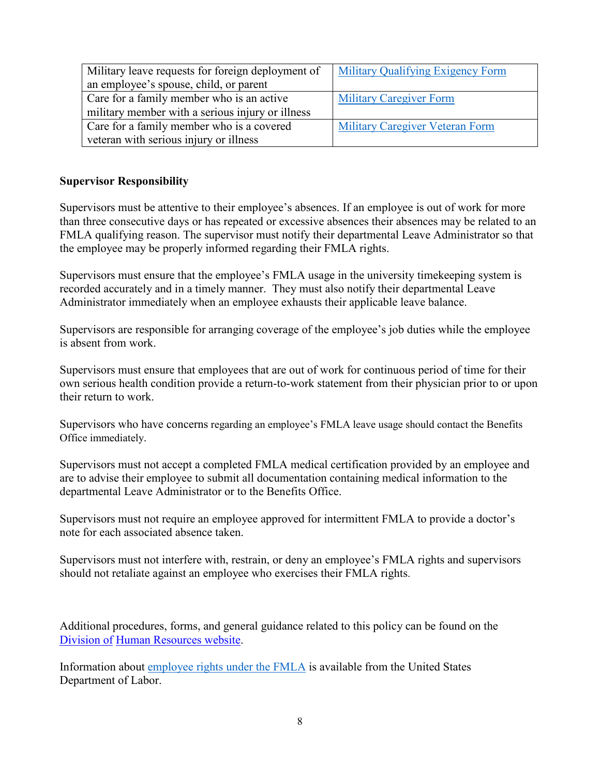| Military leave requests for foreign deployment of | <b>Military Qualifying Exigency Form</b> |
|---------------------------------------------------|------------------------------------------|
| an employee's spouse, child, or parent            |                                          |
| Care for a family member who is an active         | <b>Military Caregiver Form</b>           |
| military member with a serious injury or illness  |                                          |
| Care for a family member who is a covered         | <b>Military Caregiver Veteran Form</b>   |
| veteran with serious injury or illness            |                                          |

#### **Supervisor Responsibility**

Supervisors must be attentive to their employee's absences. If an employee is out of work for more than three consecutive days or has repeated or excessive absences their absences may be related to an FMLA qualifying reason. The supervisor must notify their departmental Leave Administrator so that the employee may be properly informed regarding their FMLA rights.

Supervisors must ensure that the employee's FMLA usage in the university timekeeping system is recorded accurately and in a timely manner. They must also notify their departmental Leave Administrator immediately when an employee exhausts their applicable leave balance.

Supervisors are responsible for arranging coverage of the employee's job duties while the employee is absent from work.

Supervisors must ensure that employees that are out of work for continuous period of time for their own serious health condition provide a return-to-work statement from their physician prior to or upon their return to work.

Supervisors who have concerns regarding an employee's FMLA leave usage should contact the Benefits Office immediately.

Supervisors must not accept a completed FMLA medical certification provided by an employee and are to advise their employee to submit all documentation containing medical information to the departmental Leave Administrator or to the Benefits Office.

Supervisors must not require an employee approved for intermittent FMLA to provide a doctor's note for each associated absence taken.

Supervisors must not interfere with, restrain, or deny an employee's FMLA rights and supervisors should not retaliate against an employee who exercises their FMLA rights.

Additional procedures, forms, and general guidance related to this policy can be found on the [Division of](https://www.sc.edu/about/offices_and_divisions/human_resources/toolbox/emergency_paid_sick_leave/index.php) [Human Resources website.](https://www.sc.edu/about/offices_and_divisions/human_resources/toolbox/emergency_paid_sick_leave/index.php)

Information about [employee rights under the FMLA](https://www.dol.gov/sites/dolgov/files/WHD/legacy/files/fmlaen.pdf) is available from the United States Department of Labor.